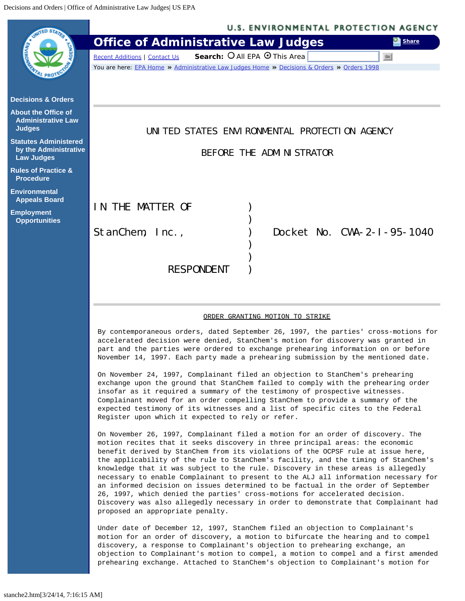<span id="page-0-0"></span>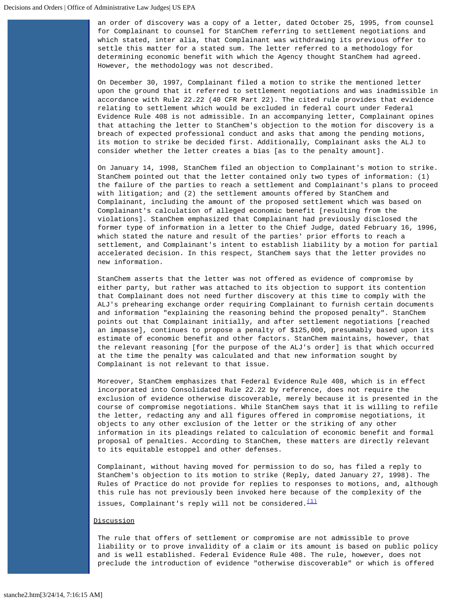an order of discovery was a copy of a letter, dated October 25, 1995, from counsel for Complainant to counsel for StanChem referring to settlement negotiations and which stated, inter alia, that Complainant was withdrawing its previous offer to settle this matter for a stated sum. The letter referred to a methodology for determining economic benefit with which the Agency thought StanChem had agreed. However, the methodology was not described.

On December 30, 1997, Complainant filed a motion to strike the mentioned letter upon the ground that it referred to settlement negotiations and was inadmissible in accordance with Rule 22.22 (40 CFR Part 22). The cited rule provides that evidence relating to settlement which would be excluded in federal court under Federal Evidence Rule 408 is not admissible. In an accompanying letter, Complainant opines that attaching the letter to StanChem's objection to the motion for discovery is a breach of expected professional conduct and asks that among the pending motions, its motion to strike be decided first. Additionally, Complainant asks the ALJ to consider whether the letter creates a bias [as to the penalty amount].

On January 14, 1998, StanChem filed an objection to Complainant's motion to strike. StanChem pointed out that the letter contained only two types of information: (1) the failure of the parties to reach a settlement and Complainant's plans to proceed with litigation; and (2) the settlement amounts offered by StanChem and Complainant, including the amount of the proposed settlement which was based on Complainant's calculation of alleged economic benefit [resulting from the violations]. StanChem emphasized that Complainant had previously disclosed the former type of information in a letter to the Chief Judge, dated February 16, 1996, which stated the nature and result of the parties' prior efforts to reach a settlement, and Complainant's intent to establish liability by a motion for partial accelerated decision. In this respect, StanChem says that the letter provides no new information.

StanChem asserts that the letter was not offered as evidence of compromise by either party, but rather was attached to its objection to support its contention that Complainant does not need further discovery at this time to comply with the ALJ's prehearing exchange order requiring Complainant to furnish certain documents and information "explaining the reasoning behind the proposed penalty". StanChem points out that Complainant initially, and after settlement negotiations [reached an impasse], continues to propose a penalty of \$125,000, presumably based upon its estimate of economic benefit and other factors. StanChem maintains, however, that the relevant reasoning [for the purpose of the ALJ's order] is that which occurred at the time the penalty was calculated and that new information sought by Complainant is not relevant to that issue.

Moreover, StanChem emphasizes that Federal Evidence Rule 408, which is in effect incorporated into Consolidated Rule 22.22 by reference, does not require the exclusion of evidence otherwise discoverable, merely because it is presented in the course of compromise negotiations. While StanChem says that it is willing to refile the letter, redacting any and all figures offered in compromise negotiations, it objects to any other exclusion of the letter or the striking of any other information in its pleadings related to calculation of economic benefit and formal proposal of penalties. According to StanChem, these matters are directly relevant to its equitable estoppel and other defenses.

Complainant, without having moved for permission to do so, has filed a reply to StanChem's objection to its motion to strike (Reply, dated January 27, 1998). The Rules of Practice do not provide for replies to responses to motions, and, although this rule has not previously been invoked here because of the complexity of the

issues, Complainant's reply will not be considered. $(1)$ 

## **Discussion**

The rule that offers of settlement or compromise are not admissible to prove liability or to prove invalidity of a claim or its amount is based on public policy and is well established. Federal Evidence Rule 408. The rule, however, does not preclude the introduction of evidence "otherwise discoverable" or which is offered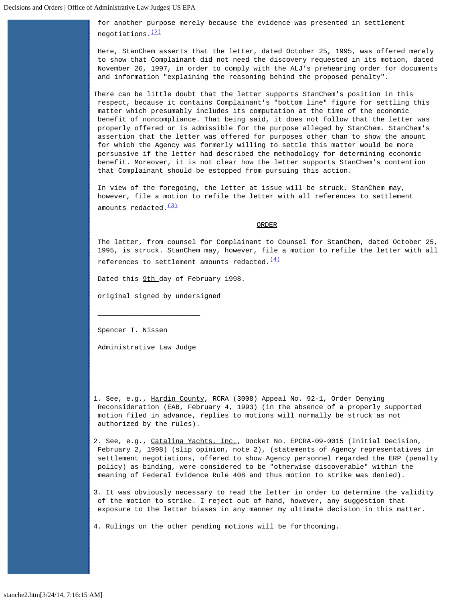for another purpose merely because the evidence was presented in settlement negotiations. $(2)$ 

Here, StanChem asserts that the letter, dated October 25, 1995, was offered merely to show that Complainant did not need the discovery requested in its motion, dated November 26, 1997, in order to comply with the ALJ's prehearing order for documents and information "explaining the reasoning behind the proposed penalty".

There can be little doubt that the letter supports StanChem's position in this respect, because it contains Complainant's "bottom line" figure for settling this matter which presumably includes its computation at the time of the economic benefit of noncompliance. That being said, it does not follow that the letter was properly offered or is admissible for the purpose alleged by StanChem. StanChem's assertion that the letter was offered for purposes other than to show the amount for which the Agency was formerly willing to settle this matter would be more persuasive if the letter had described the methodology for determining economic benefit. Moreover, it is not clear how the letter supports StanChem's contention that Complainant should be estopped from pursuing this action.

In view of the foregoing, the letter at issue will be struck. StanChem may, however, file a motion to refile the letter with all references to settlement amounts redacted. $\frac{(3)}{2}$  $\frac{(3)}{2}$  $\frac{(3)}{2}$ 

## ORDER

The letter, from counsel for Complainant to Counsel for StanChem, dated October 25, 1995, is struck. StanChem may, however, file a motion to refile the letter with all references to settlement amounts redacted.  $\frac{(4)}{(4)}$  $\frac{(4)}{(4)}$  $\frac{(4)}{(4)}$ 

Dated this 9th day of February 1998.

original signed by undersigned

Spencer T. Nissen

Administrative Law Judge

 $\overline{\phantom{a}}$  , where  $\overline{\phantom{a}}$  , where  $\overline{\phantom{a}}$  ,  $\overline{\phantom{a}}$  ,  $\overline{\phantom{a}}$  ,  $\overline{\phantom{a}}$  ,  $\overline{\phantom{a}}$  ,  $\overline{\phantom{a}}$  ,  $\overline{\phantom{a}}$  ,  $\overline{\phantom{a}}$  ,  $\overline{\phantom{a}}$  ,  $\overline{\phantom{a}}$  ,  $\overline{\phantom{a}}$  ,  $\overline{\phantom{a}}$  ,  $\overline{\phantom{a}}$  ,

<span id="page-2-0"></span>1. See, e.g., Hardin County, RCRA (3008) Appeal No. 92-1, Order Denying Reconsideration (EAB, February 4, 1993) (in the absence of a properly supported motion filed in advance, replies to motions will normally be struck as not authorized by the rules).

<span id="page-2-1"></span>2. See, e.g., Catalina Yachts, Inc., Docket No. EPCRA-09-0015 (Initial Decision, February 2, 1998) (slip opinion, note 2), (statements of Agency representatives in settlement negotiations, offered to show Agency personnel regarded the ERP (penalty policy) as binding, were considered to be "otherwise discoverable" within the meaning of Federal Evidence Rule 408 and thus motion to strike was denied).

<span id="page-2-2"></span>3. It was obviously necessary to read the letter in order to determine the validity of the motion to strike. I reject out of hand, however, any suggestion that exposure to the letter biases in any manner my ultimate decision in this matter.

<span id="page-2-3"></span>4. Rulings on the other pending motions will be forthcoming.